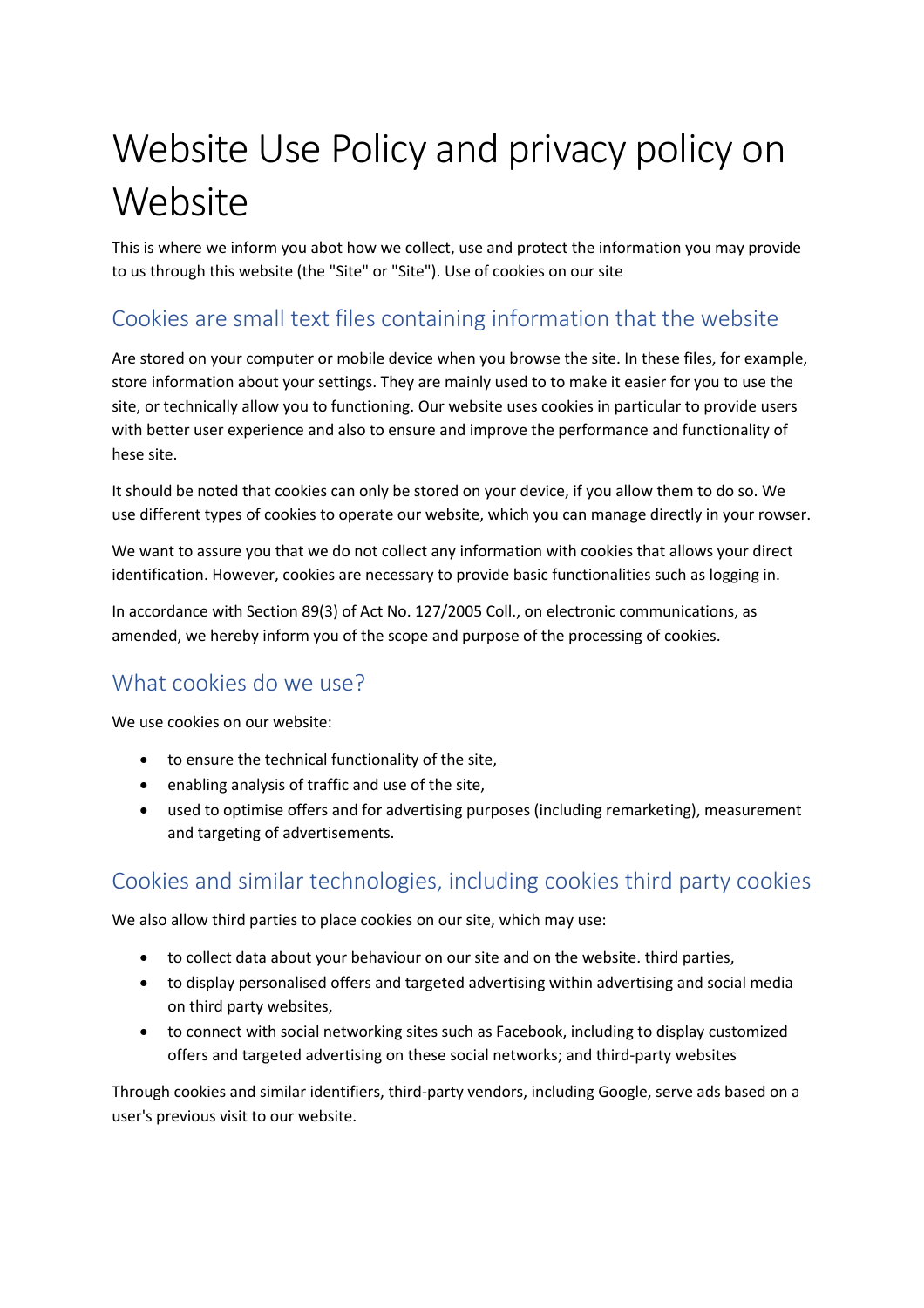# Website Use Policy and privacy policy on **Website**

This is where we inform you abot how we collect, use and protect the information you may provide to us through this website (the "Site" or "Site"). Use of cookies on our site

## Cookies are small text files containing information that the website

Are stored on your computer or mobile device when you browse the site. In these files, for example, store information about your settings. They are mainly used to to make it easier for you to use the site, or technically allow you to functioning. Our website uses cookies in particular to provide users with better user experience and also to ensure and improve the performance and functionality of hese site.

It should be noted that cookies can only be stored on your device, if you allow them to do so. We use different types of cookies to operate our website, which you can manage directly in your rowser.

We want to assure you that we do not collect any information with cookies that allows your direct identification. However, cookies are necessary to provide basic functionalities such as logging in.

In accordance with Section 89(3) of Act No. 127/2005 Coll., on electronic communications, as amended, we hereby inform you of the scope and purpose of the processing of cookies.

# What cookies do we use?

We use cookies on our website:

- to ensure the technical functionality of the site,
- enabling analysis of traffic and use of the site,
- used to optimise offers and for advertising purposes (including remarketing), measurement and targeting of advertisements.

# Cookies and similar technologies, including cookies third party cookies

We also allow third parties to place cookies on our site, which may use:

- to collect data about your behaviour on our site and on the website. third parties,
- to display personalised offers and targeted advertising within advertising and social media on third party websites,
- to connect with social networking sites such as Facebook, including to display customized offers and targeted advertising on these social networks; and third-party websites

Through cookies and similar identifiers, third-party vendors, including Google, serve ads based on a user's previous visit to our website.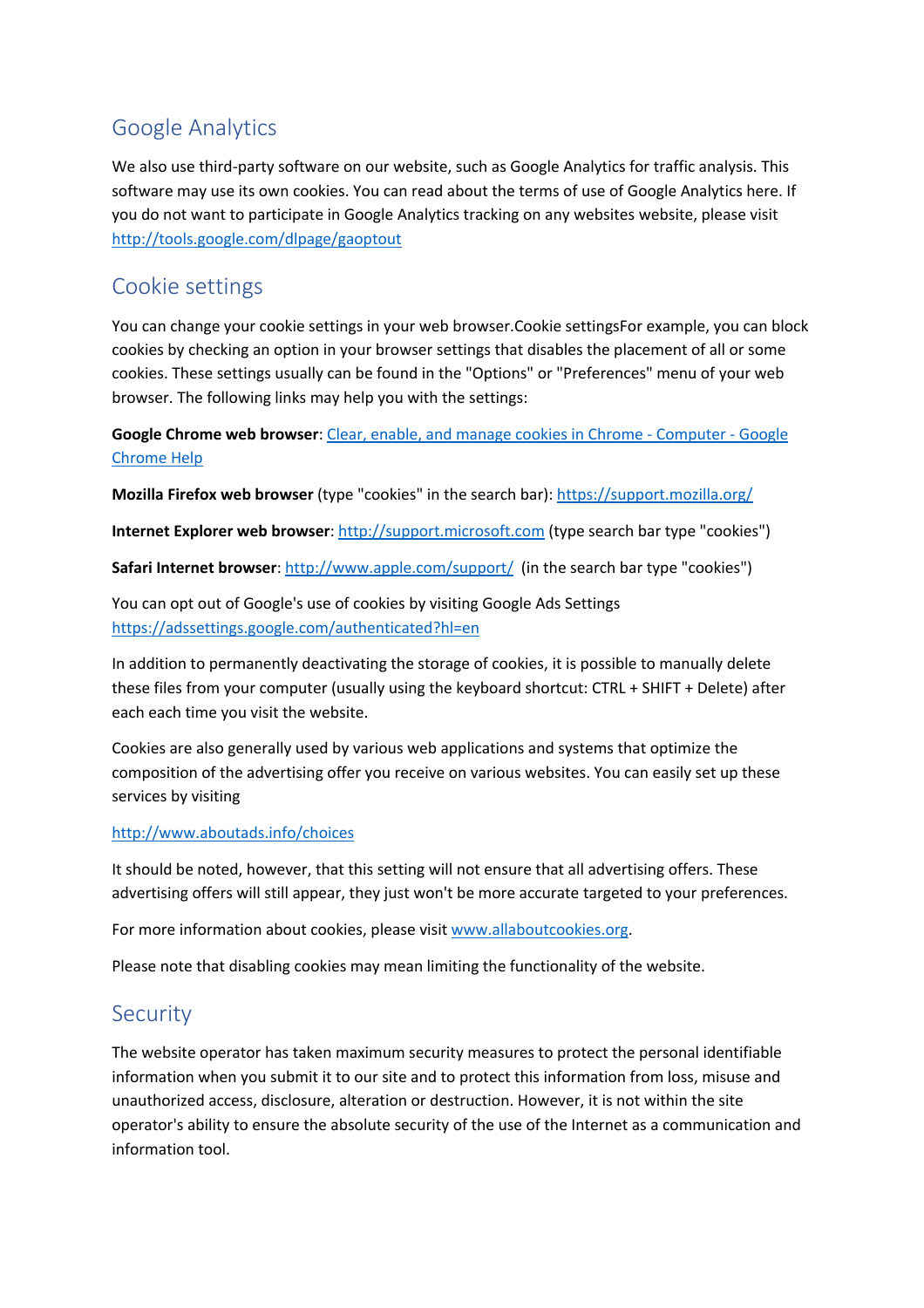## Google Analytics

We also use third-party software on our website, such as Google Analytics for traffic analysis. This software may use its own cookies. You can read about the terms of use of Google Analytics here. If you do not want to participate in Google Analytics tracking on any websites website, please visit http://tools.google.com/dlpage/gaoptout

## Cookie settings

You can change your cookie settings in your web browser.Cookie settingsFor example, you can block cookies by checking an option in your browser settings that disables the placement of all or some cookies. These settings usually can be found in the "Options" or "Preferences" menu of your web browser. The following links may help you with the settings:

**Google Chrome web browser**: Clear, enable, and manage cookies in Chrome - Computer - Google Chrome Help

**Mozilla Firefox web browser** (type "cookies" in the search bar): https://support.mozilla.org/

**Internet Explorer web browser**: http://support.microsoft.com (type search bar type "cookies")

Safari Internet browser: http://www.apple.com/support/ (in the search bar type "cookies")

You can opt out of Google's use of cookies by visiting Google Ads Settings https://adssettings.google.com/authenticated?hl=en

In addition to permanently deactivating the storage of cookies, it is possible to manually delete these files from your computer (usually using the keyboard shortcut: CTRL + SHIFT + Delete) after each each time you visit the website.

Cookies are also generally used by various web applications and systems that optimize the composition of the advertising offer you receive on various websites. You can easily set up these services by visiting

#### http://www.aboutads.info/choices

It should be noted, however, that this setting will not ensure that all advertising offers. These advertising offers will still appear, they just won't be more accurate targeted to your preferences.

For more information about cookies, please visit www.allaboutcookies.org.

Please note that disabling cookies may mean limiting the functionality of the website.

### Security

The website operator has taken maximum security measures to protect the personal identifiable information when you submit it to our site and to protect this information from loss, misuse and unauthorized access, disclosure, alteration or destruction. However, it is not within the site operator's ability to ensure the absolute security of the use of the Internet as a communication and information tool.